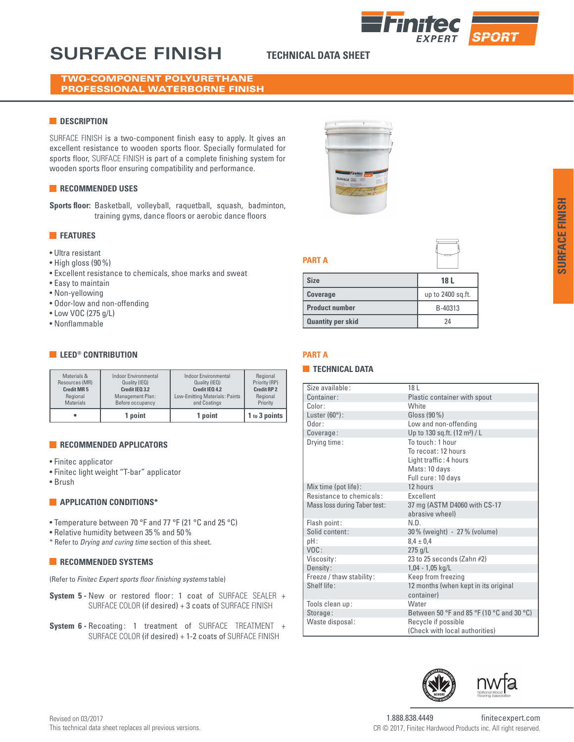# **SURFACE FINISH TECHNICAL DATA SHEET**

# TWO-COMPONENT POLYURETHANE PROFESSIONAL WATERBORNE FINISH

# **DESCRIPTION**

SURFACE FINISH is a two-component finish easy to apply. It gives an excellent resistance to wooden sports floor. Specially formulated for sports floor, SURFACE FINISH is part of a complete finishing system for wooden sports floor ensuring compatibility and performance.

# **RECOMMENDED USES**

**Sports floor:** Basketball, volleyball, raquetball, squash, badminton, training gyms, dance floors or aerobic dance floors

# **FEATURES**

- Ultra resistant
- High gloss (90%)
- Excellent resistance to chemicals, shoe marks and sweat
- Easy to maintain
- Non-yellowing
- Odor-low and non-offending
- Low VOC (275 g/L)
- Nonflammable

# **EXECUTE CONTRIBUTION**

| <b>Materials</b>  | Before occupancy            | and Coatings                   | Priority           |
|-------------------|-----------------------------|--------------------------------|--------------------|
|                   | 1 point                     | 1 point                        | 1 to 3 points      |
| Materials &       | <b>Indoor Environmental</b> | Indoor Environmental           | Regional           |
| Resources (MR)    | Quality (IEQ)               | Quality (IEQ)                  | Priority (RP)      |
| <b>Credit MR5</b> | Credit IEQ 3.2              | Credit IEO 4.2                 | <b>Credit RP 2</b> |
| Regional          | Management Plan:            | Low-Emitting Materials: Paints | Regional           |

# **RECOMMENDED APPLICATORS**

- Finitec applicator
- Finitec light weight "T-bar" applicator
- Brush

# **APPLICATION CONDITIONS\***

- Temperature between 70 °F and 77 °F (21 °C and 25 °C)
- Relative humidity between 35% and 50%
- \* Refer to *Drying and curing time* section of this sheet.

# **RECOMMENDED SYSTEMS**

(Refer to *Finitec Expert sports floor finishing systems* table)

- **System 5 -** New or restored floor: 1 coat of SURFACE SEALER + SURFACE COLOR (if desired) + 3 coats of SURFACE FINISH
- **System 6 -** Recoating: 1 treatment of SURFACE TREATMENT + SURFACE COLOR (if desired) + 1-2 coats of SURFACE FINISH









| <b>Size</b>              | 18 L              |
|--------------------------|-------------------|
| <b>Coverage</b>          | up to 2400 sq.ft. |
| <b>Product number</b>    | B-40313           |
| <b>Quantity per skid</b> | 24                |

# **PART A**

**PART A**

### **TECHNICAL DATA**

| Size available:              | 18 <sup>1</sup>                           |
|------------------------------|-------------------------------------------|
| Container:                   | Plastic container with spout              |
| Color:                       | <b>White</b>                              |
| Luster $(60^{\circ})$ :      | Gloss (90 %)                              |
| Odor:                        | Low and non-offending                     |
| Coverage:                    | Up to 130 sq.ft. (12 m <sup>2</sup> ) / L |
| Drying time:                 | To touch: 1 hour                          |
|                              | To recoat: 12 hours                       |
|                              | Light traffic: 4 hours                    |
|                              | Mats: 10 days                             |
|                              | Full cure: 10 days                        |
| Mix time (pot life):         | 12 hours                                  |
| Resistance to chemicals:     | <b>Fxcellent</b>                          |
| Mass loss during Taber test: | 37 mg (ASTM D4060 with CS-17              |
|                              | abrasive wheel)                           |
| Flash point:                 | N.D.                                      |
| Solid content:               | 30% (weight) - 27% (volume)               |
| pH:                          | $8.4 \pm 0.4$                             |
| VOC:                         | $275$ g/L                                 |
| Viscosity:                   | 23 to 25 seconds (Zahn #2)                |
| Density:                     | $1,04 - 1,05$ kg/L                        |
| Freeze / thaw stability:     | Keep from freezing                        |
| Shelf life:                  | 12 months (when kept in its original      |
|                              | container)                                |
| Tools clean up:              | Water                                     |
| Storage:                     | Between 50 °F and 85 °F (10 °C and 30 °C) |
| Waste disposal:              | Recycle if possible                       |
|                              | (Check with local authorities)            |
|                              |                                           |